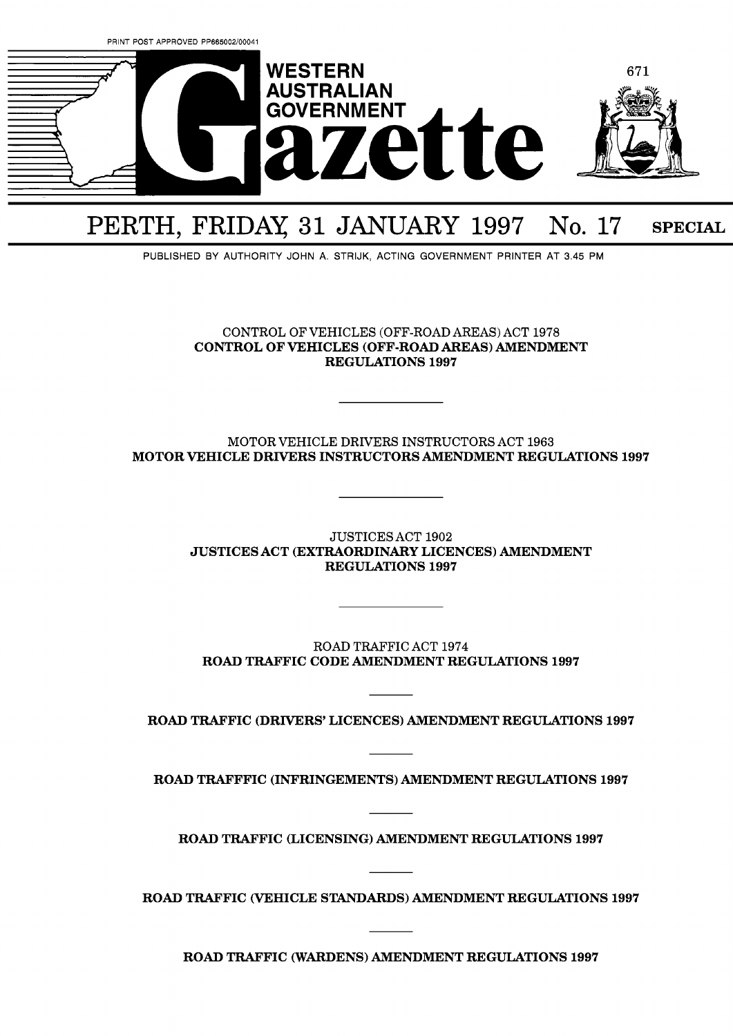

# PERTH, FRIDAY 31 JANUARY 1997 No. 17 SPECIAL

PUBLISHED BY AUTHORITY JOHN A. STRIJK. ACTING GOVERNMENT PRINTER AT 3.45 PM

CONTROL OF VEHICLES (OFF-ROAD AREAS) ACT 1978 CONTROL OF VEHICLES (OFF-ROAD AREAS) AMENDMENT REGULATIONS **1997** 

# MOTOR VEHICLE DRIVERS INSTRUCTORS ACT 1963 MOTOR VEHICLE DRIVERS INSTRUCTORS AMENDMENT REGULATIONS **1997**

JUSTICES ACT 1902 JUSTICES ACT (EXTRAORDINARY LICENCES) AMENDMENT REGULATIONS **1997** 

ROAD TRAFFIC ACT 1974 ROAD TRAFFIC CODE AMENDMENT REGULATIONS **1997** 

ROAD TRAFFIC (DRIVERS' LICENCES) AMENDMENT REGULATIONS **1997** 

ROAD TRAFFFIC (INFRINGEMENTS) AMENDMENT REGULATIONS **1997** 

ROAD TRAFFIC (LICENSING) AMENDMENT REGULATIONS **1997** 

ROAD TRAFFIC (VEHICLE STANDARDS) AMENDMENT REGULATIONS **1997** 

ROAD TRAFFIC (WARDENS) AMENDMENT REGULATIONS **1997**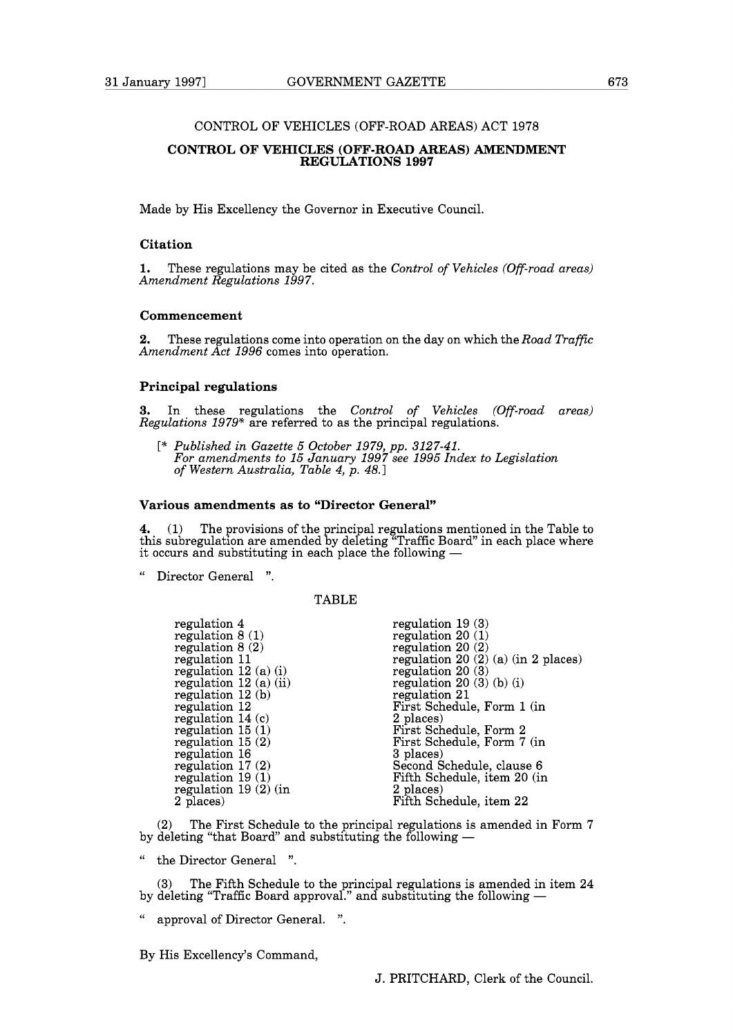## CONTROL OF VEHICLES (OFF-ROAD AREAS) ACT 1978

## **CONTROL OF VEHICLES (OFF-ROAD AREAS) AMENDMENT REGULATIONS 1997**

Made by His Excellency the Governor in Executive Council.

## **Citation**

**1.** These regulations may be cited as the *Control of Vehicles (Off-road areas) Amendment Regulations 1997.* 

# **Commencement**

**2.** These regulations come into operation on the day on which the *Road Traffic Amendment Act 1996* comes into operation.

#### **Principal regulations**

**3.** In these regulations the *Control of Vehicles (Off-road areas) Regulations 1979\** are referred to as the principal regulations.

[\* *Published in Gazette 5 October 1979, pp. 3127-41. For amendments to 15 January 1997 see 1995 Index to Legislation of Western Australia, Table 4, p. 48.1* 

# **Various amendments as to "Director General"**

**4.** (1) The provisions of the principal regulations mentioned in the Table to this subregulation are amended by deleting "Traffic Board" in each place where **4.** (1) The provisions of the principal regulations ment this subregulation are amended by deleting "Traffic Board" it occurs and substituting in each place the following  $-$ 

Director General ".

## TABLE

| regulation 4            | regulation $19(3)$                        |
|-------------------------|-------------------------------------------|
| regulation $8(1)$       | regulation $20(1)$                        |
| regulation $8(2)$       | regulation $20(2)$                        |
| regulation 11           | regulation 20 $(2)$ $(a)$ $(in 2 places)$ |
| regulation $12(a)(i)$   | regulation $20(3)$                        |
| regulation $12(a)$ (ii) | regulation $20(3)(b)(i)$                  |
| regulation $12(b)$      | regulation 21                             |
| regulation 12           | First Schedule, Form 1 (in                |
| regulation $14(c)$      | 2 places)                                 |
| regulation $15(1)$      | First Schedule, Form 2                    |
| regulation $15(2)$      | First Schedule, Form 7 (in                |
| regulation 16           | 3 places)                                 |
| regulation $17(2)$      | Second Schedule, clause 6                 |
| regulation $19(1)$      | Fifth Schedule, item 20 (in               |
| regulation $19(2)$ (in  | 2 places)                                 |
| 2 places)               | Fifth Schedule, item 22                   |
|                         |                                           |

The First Schedule to the principal regulations is amended in Form 7 by deleting "that Board" and substituting the following -

" the Director General ".

(3) The Fifth Schedule to the principal regulations is amended in item 24 by deleting tender and the principal regulations is amended in ite<br>by deleting "Traffic Board approval." and substituting the following —

" approval of Director General. ".

By His Excellency's Command,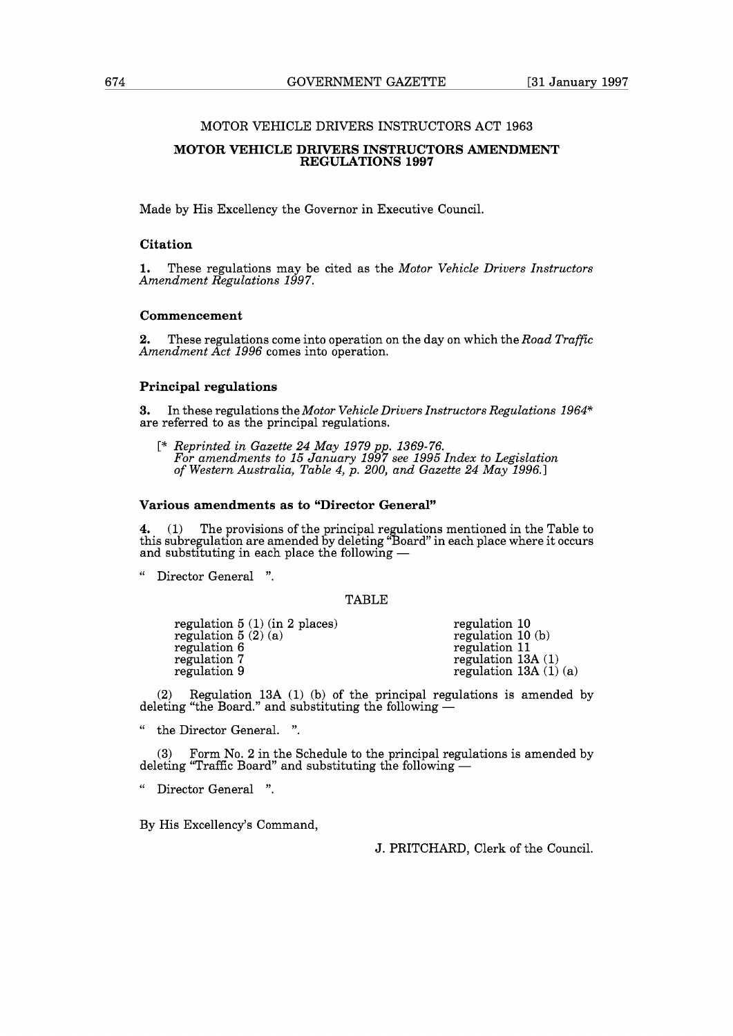# MOTOR VEHICLE DRIVERS INSTRUCTORS ACT 1963

#### **MOTOR VEHICLE DRIVERS INSTRUCTORS AMENDMENT REGULATIONS 1997**

Made by His Excellency the Governor in Executive Council.

## **Citation**

**1.** These regulations may be cited as the *Motor Vehicle Drivers Instructors Amendment Regulations 1997.* 

# **Commencement**

**2.** These regulations come into operation on the day on which the *Road Traffic Amendment Act 1996* comes into operation.

## **Principal regulations**

**3.** In these regulations the *Motor Vehicle Drivers Instructors Regulations 1964\**  are referred to as the principal regulations.

[\* *Reprinted in Gazette 24 May 1979 pp. 1369-76. For amendments to 15 January 1997 see 1995 Index to Legislation of Western Australia, Table 4, p. 200, and Gazette 24 May 1996.1* 

# **Various amendments as to "Director General"**

**4.** (1) The provisions of the principal regulations mentioned in the Table to this subregulation are amended by deleting "Board" in each place where it occurs **4.** (1) The provisions of the principal regulation are amended by deleting "Board and substituting in each place the following  $-$ 

" Director General ".

# TABLE

| regulation $5(1)(\text{in } 2 \text{ places})$ | regulation 10          |
|------------------------------------------------|------------------------|
| regulation $5(2)(a)$                           | regulation $10(b)$     |
| regulation 6                                   | regulation 11          |
| regulation 7                                   | regulation $13A(1)$    |
| regulation 9                                   | regulation $13A(1)(a)$ |

(2) Regulation 13A (1) (b) of the principal regulations is amended by deleting "the Board." and substituting the following  $-$ 

" the Director General. ".

(3) Form No. 2 in the Schedule to the principal regulations is amended by deleting "Traffic Board" and substituting the following  $-$ 

Director General ".

By His Excellency's Command,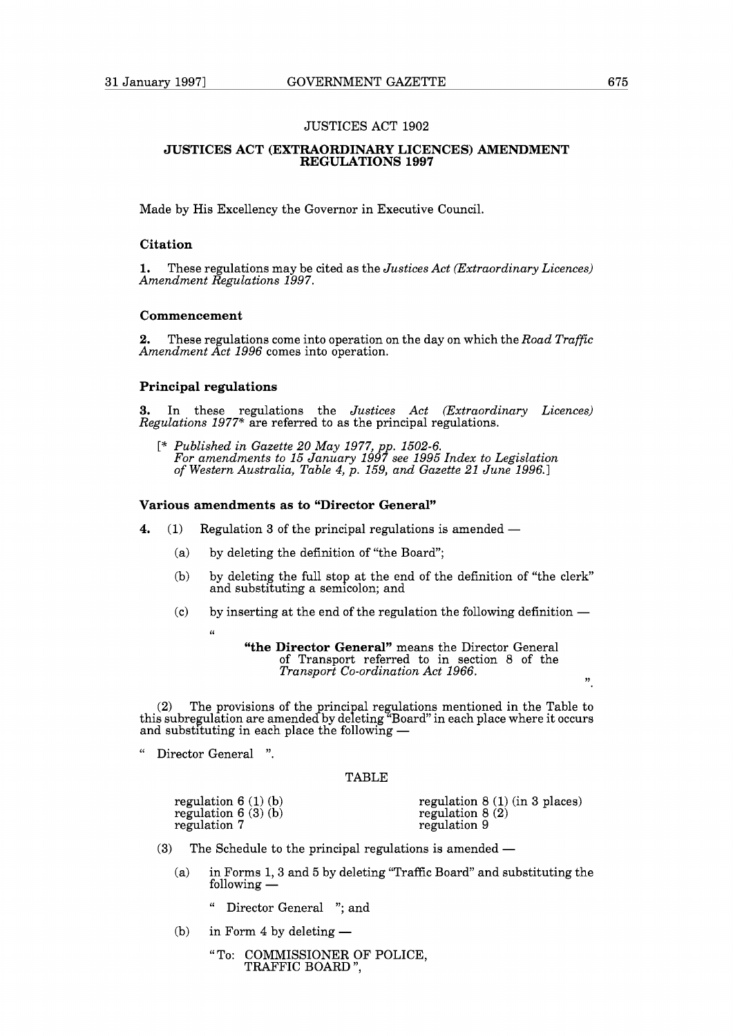## JUSTICES ACT 1902

## **JUSTICES ACT (EXTRAORDINARY LICENCES) AMENDMENT REGULATIONS 1997**

Made by His Excellency the Governor in Executive Council.

## **Citation**

**1.** These regulations may be cited as the *Justices Act (Extraordinary Licences) Amendment Regulations 1997.* 

# **Commencement**

**2.** These regulations come into operation on the day on which the *Road Traffic Amendment Act 1996* comes into operation.

#### **Principal regulations**

**3.** In these regulations the *Justices Act (Extraordinary Licences) Regulations 1977\** are referred to as the principal regulations.

[\* *Published in Gazette 20 May 1977, pp. 1502-6. For amendments to 15 January 1997 see 1995 Index to Legislation of Western Australia, Table 4, p. 159, and Gazette 21 June 1996.1* 

# **Various amendments as to "Director General"**

- **4.** (1) Regulation 3 of the principal regulations is amended -
	- (a) by deleting the definition of "the Board";
	- (b) by deleting the full stop at the end of the definition of "the clerk" and substituting a semicolon; and
	- (c) by inserting at the end of the regulation the following definition  $-$ **(6**

**"the Director General"** means the Director General of Transport referred to in section 8 of the *Transport Co-ordination Act 1966.*  $\frac{1}{2}$ 

(2) The provisions of the principal regulations mentioned in the Table to this subregulation are amended by deleting "Board" in each place where it occurs and substituting in each place the following —

" Director General ".

#### TABLE

|     | regulation $6(1)(b)$<br>regulation $6(3)(b)$<br>regulation 7 | regulation $8(1)$ (in 3 places)<br>regulation $8(2)$<br>regulation 9 |
|-----|--------------------------------------------------------------|----------------------------------------------------------------------|
| (3) |                                                              | The Schedule to the principal regulations is amended —               |

- - (a) in Forms 1, 3 and 5 by deleting "Traffic Board" and substituting the  $\frac{1}{2}$  in Forms 1, 3 a<br>following  $\frac{1}{2}$ 
		-
	- <sup>"</sup> Director General "; and<br>
	(b) in Form 4 by deleting
		- " To: COMMISSIONER OF POLICE, TRAFFIC BOARD ",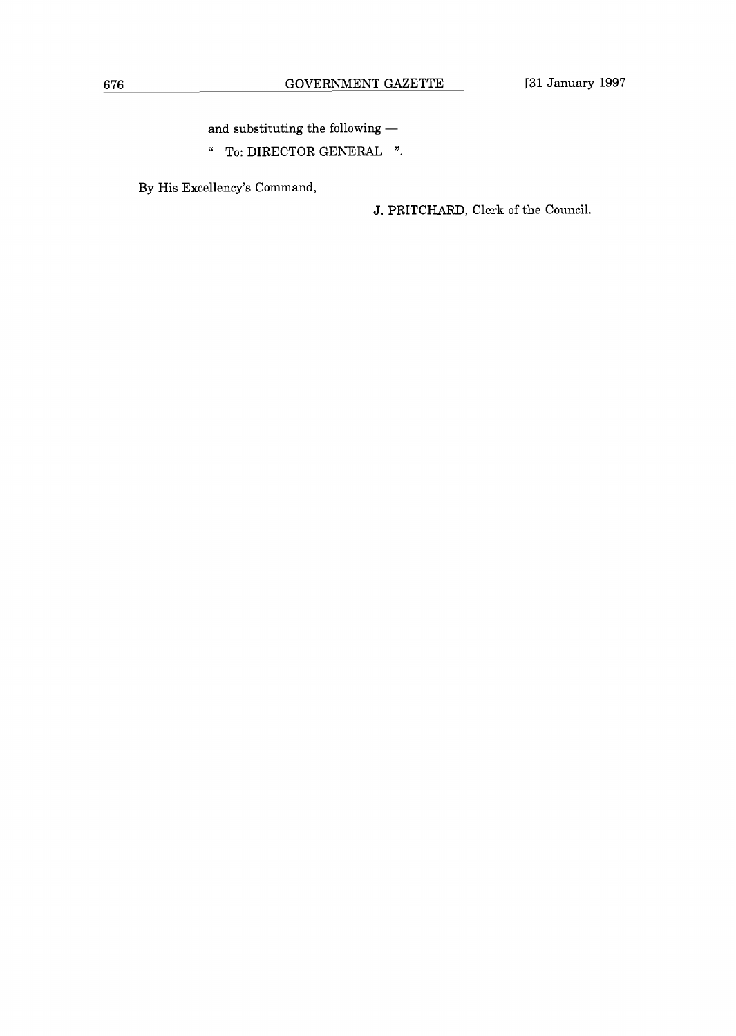and substituting the following  $-\,$ 

" To: DIRECTOR GENERAL "

By His Excellency's Command,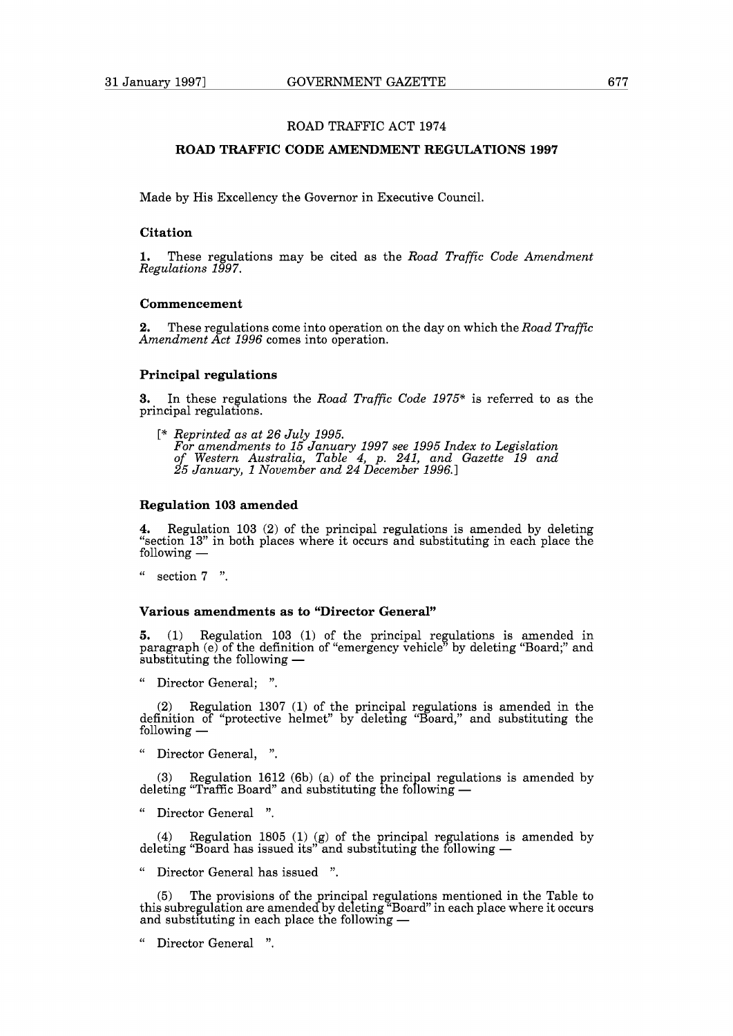## **ROAD TRAFFIC CODE AMENDMENT REGULATIONS 1997**

Made by His Excellency the Governor in Executive Council.

#### **Citation**

**1.** These regulations may be cited as the *Road Traffic Code Amendment Regulations 1997.* 

## **Commencement**

**2.** These regulations come into operation on the day on which the *Road Traffic Amendment Act 1996* comes into operation.

## **Principal regulations**

**3.** In these regulations the *Road Traffic Code 1975\** is referred to as the principal regulations.

[\* *Reprinted as at 26 July 1995. For amendments to 15 January 1997 see 1995 Index to Legislation of Western Australia, Table 4, p. 241, and Gazette 19 and 25 January, 1 November and 24 December 1996.1* 

# **Regulation 103 amended**

**4.** Regulation 103 (2) of the principal regulations is amended by deleting "section 13" in both places where it occurs and substituting in each place the following —

section 7 ".

#### **Various amendments as to "Director General"**

5. (1) Regulation 103 (1) of the principal regulations is amended in paragraph (e) of the definition of "emergency vehicle" by deleting "Board;" and **5.** (1) Regulation 103 (1) paragraph (e) of the definition substituting the following  $-$ 

Director General; ".

(2) Regulation 1307 (1) of the principal regulations is amended in the definition of "protective helmet" by deleting "Board," and substituting the  $\begin{array}{ll} (2) & \text{Regul} \ \text{definition of} \ \text{following} \ - \end{array}$ 

" Director General, ".

(3) Regulation 1612 (6b) (a) of the principal regulations is amended by deleting "Traffic Board" and substituting the following  $-$ 

" Director General ".

(4) Regulation 1805 (1) (g) of the principal regulations is amended by deleting "Board has issued its" and substituting the following  $-$ 

Director General has issued ".

(5) The provisions of the principal regulations mentioned in the Table to this subregulation are amended by deleting "Board" in each place where it occurs and substituting in each place the following —

Director General ".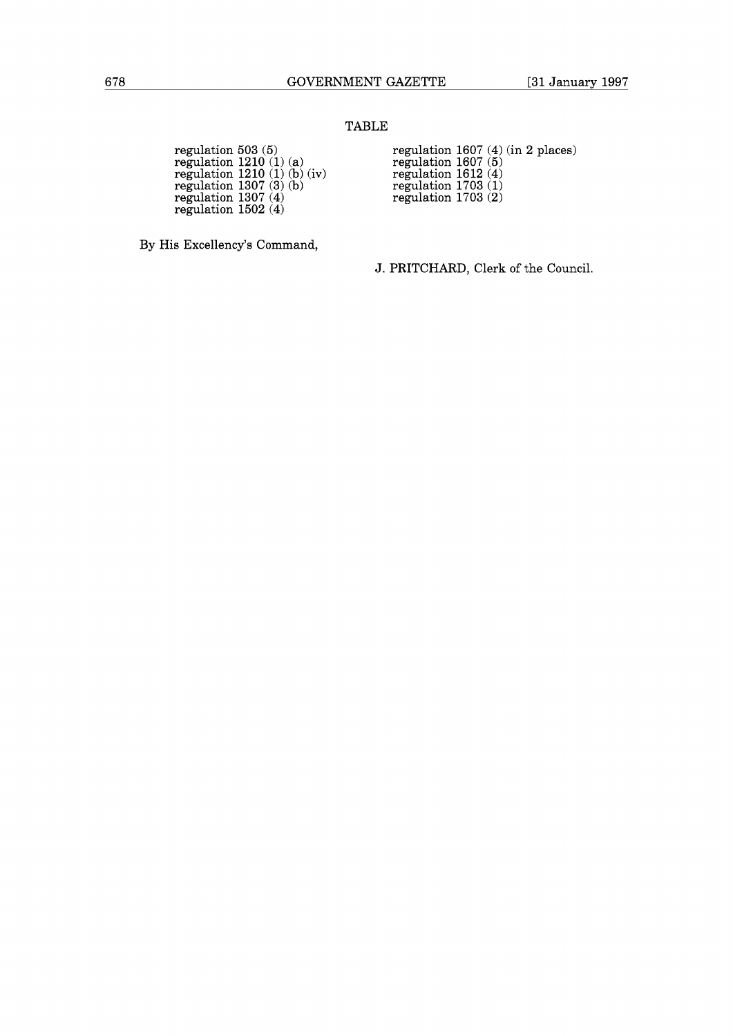# TABLE

| regulation $503(5)$         | regulation 1607 $(4)$ |  |
|-----------------------------|-----------------------|--|
| regulation $1210(1)(a)$     | regulation $1607(5)$  |  |
| regulation $1210(1)(b)(iv)$ | regulation $1612(4)$  |  |
| regulation $1307(3)(b)$     | regulation $1703(1)$  |  |
| regulation $1307(4)$        | regulation $1703(2)$  |  |
| regulation $1502(4)$        |                       |  |

regulation 503 (5) regulation 1607 (4) (in 2 places) regulation 1607 (5)

By His Excellency's Command,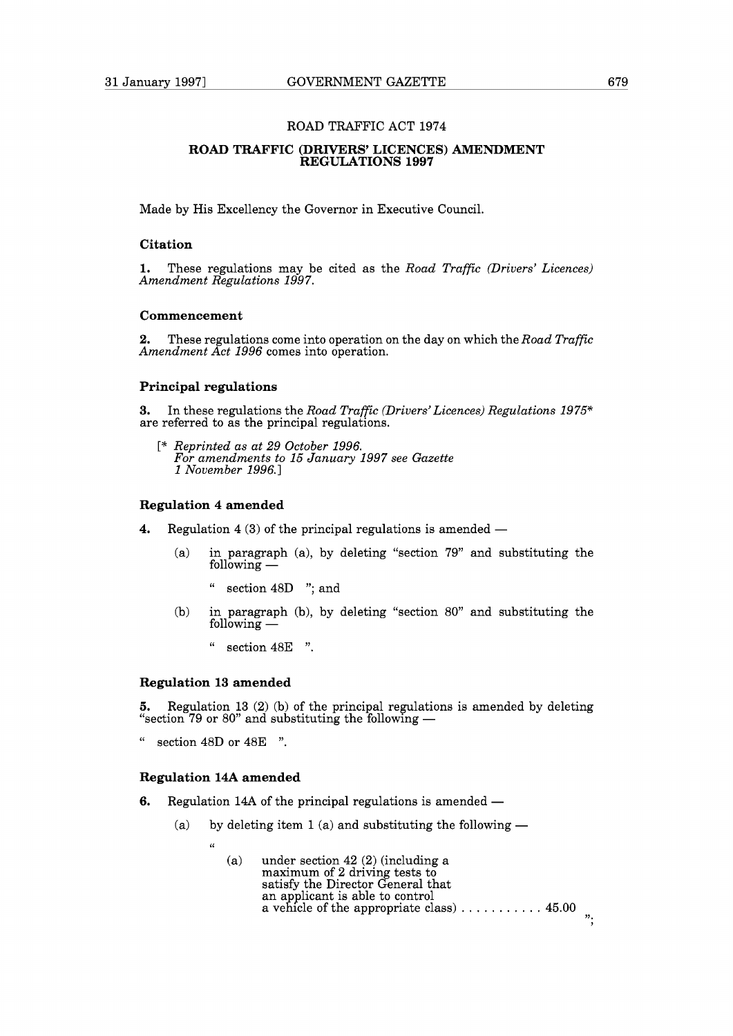## **ROAD TRAFFIC (DRIVERS' LICENCES) AMENDMENT REGULATIONS 1997**

Made by His Excellency the Governor in Executive Council.

## **Citation**

**1.** These regulations may be cited as the *Road Traffic (Drivers' Licences) Amendment Regulations* 1997.

# **Commencement**

**2.** These regulations come into operation on the day on which the *Road Traffic Amendment Act* 1996 comes into operation.

## **Principal regulations**

**3.** In these regulations the *Road Traffic (Drivers'Licences) Regulations* 1975\* are referred to as the principal regulations.

[\* *Reprinted as at* 29 *October* 1996. *For amendments to* 15 *January* 1997 *see Gazette*  1 *November* 1996.1

# **Regulation 4 amended**

- **4.** Regulation 4 (3) of the principal regulations is amended
	- (a) in paragraph (a), by deleting "section 79" and substituting the  $\lim_{x \to 0} \frac{1}{x}$  ranged in paragraph
		- " section 48D "; and
	- (b) in paragraph (b), by deleting "section 80" and substituting the Following -<br>following -
		- " section 48E ".

# **Regulation 13 amended**

**5.** Regulation 13 (2) (b) of the principal regulations is amended by deleting **EXECTE THE SUITE 19 OF SUBSET 19 OF SUBSET 13**<br>5. Regulation 13 (2) (b) of the principal regulations <br>"section 79 or 80" and substituting the following —

" section 48D or 48E ".

# **Regulation 14A amended**

- **Regulation 14A amended**<br>6. Regulation 14A of the principal regulations is amended
	- (egulation 14A of the principal regulations is amended  $-$ <br>(a) by deleting item 1 (a) and substituting the following  $-$ 
		- $\epsilon$ 
			- (a) under section 42 (2) (including a maximum of 2 driving tests to satisfy the Director General that an applicant is able to control a vehicle of the appropriate class)  $\dots \dots \dots$  . 45.00 **>7.**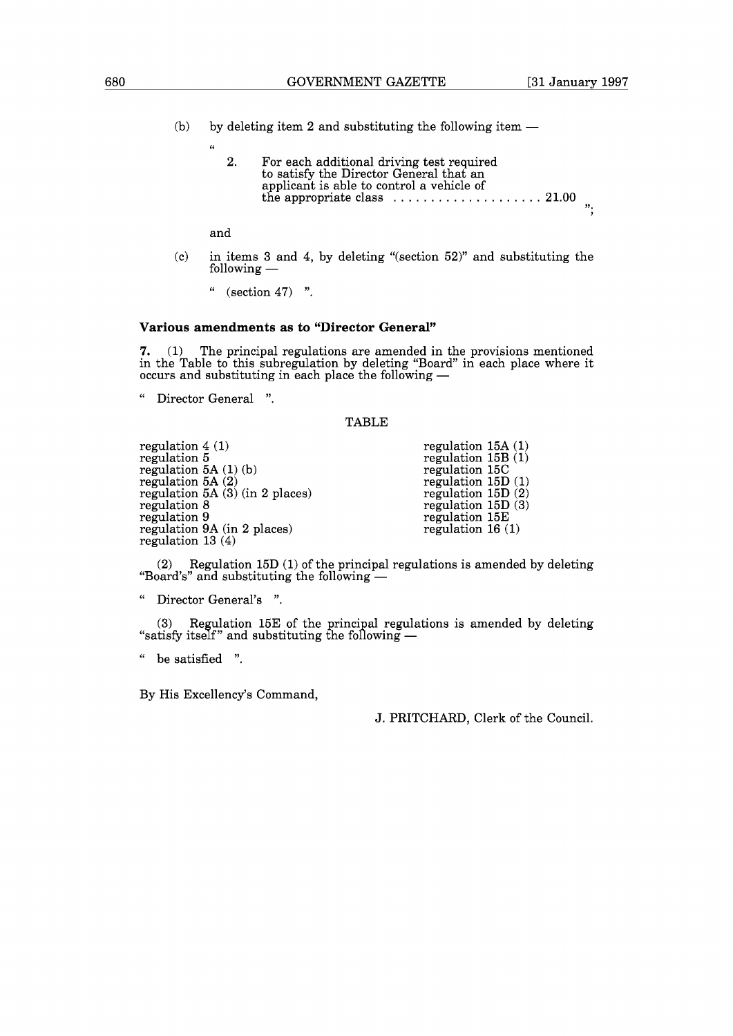- (b) by deleting item 2 and substituting the following item  $-$ 
	- 2. For each additional driving test required to satisfy the Director General that an applicant is able to control a vehicle of the appropriate class  $\dots \dots \dots \dots \dots \dots \dots 21.00$  $"$ :

and

**(6** 

(c) in items 3 and 4, by deleting "(section 52)" and substituting the and<br>in items 3 and<br>following —

 $(\text{section } 47)$  ".

#### **Various amendments as to "Director General"**

**7.** (1) The principal regulations are amended in the provisions mentioned in the Table to this subregulation by deleting "Board" in each place where it **7.** (1) The principal regulations are amended in the in the Table to this subregulation by deleting "Board" soccurs and substituting in each place the following  $-$ 

" Director General ".

## TABLE

regulation 4 (1) regulation 5 regulation 5A (1) (b) regulation 5A (2) regulation 5A (3) (in 2 places) regulation 8 regulation 8<br>regulation 9 regulation 9A (in 2 places) regulation 13 (4)

regulation 15A (1) regulation  $15B(1)$ regulation 15C regulation 15D (1) regulation 15D $(2)$ regulation  $15D(3)$ regulation 15E regulation 16 (1)

(2) Regulation 15D (1) of the principal regulations is amended by deleting "Board's" and substituting the following  $-$ 

" Director General's ".

(3) Regulation 15E of the principal regulations is amended by deleting "satisfy itself" and substituting the following  $-$ 

" be satisfied ".

By His Excellency's Command,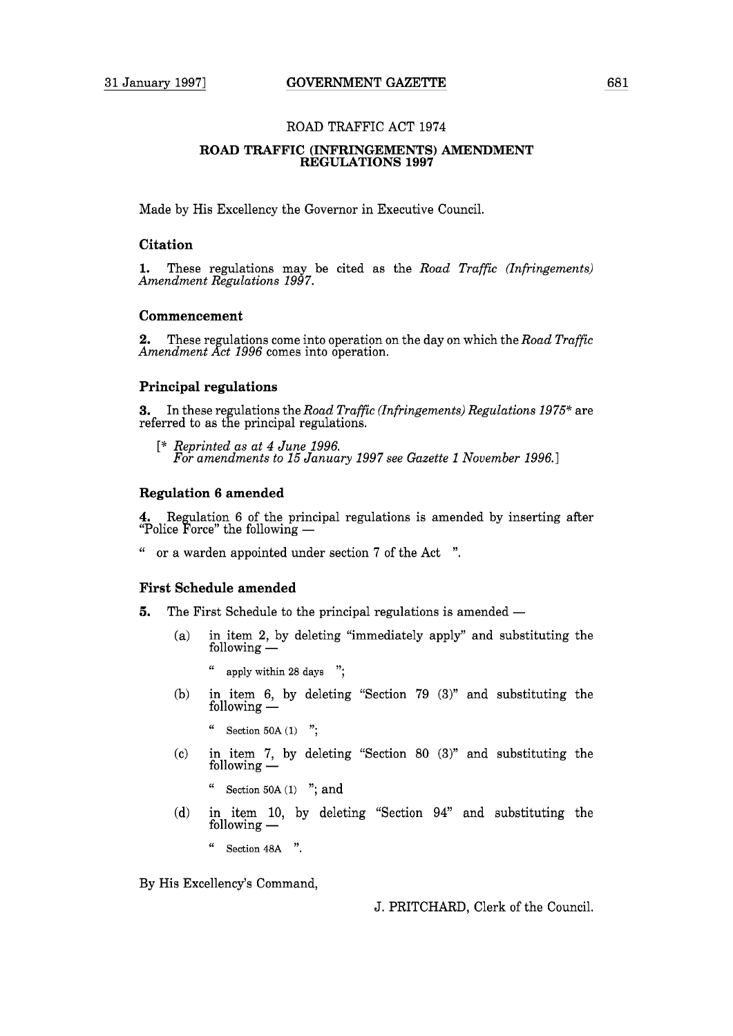# **ROAD TRAFFIC (INFRINGEMENTS) AMENDMENT REGULATIONS 1997**

Made by His Excellency the Governor in Executive Council.

## **Citation**

**1.** These regulations may be cited as the *Road Traffic (Infringements) Amendment Regulations 1997.* 

# **Commencement**

**2.** These regulations come into operation on the day on which the *Road Traffic Amendment Act 1996* comes into operation.

# **Principal regulations**

**3.** In these regulations the *Road Traffic (Infringements) Regulations 1975\** are referred to as the principal regulations.

[\* *Reprinted as at 4 June 1996. For amendments to 15 January 1997 see Gazette 1 November 1996.1* 

# **Regulation 6 amended**

**4.** Regulation 6 of the principal regulations is amended by inserting after "Police Force" the following -

" or a warden appointed under section 7 of the Act ".

# **First Schedule amended**

- **5.** The First Schedule to the principal regulations is amended -
	- (a) in item 2, by deleting "immediately apply" and substituting the  $\frac{1}{2}$  in item 2, by following  $\frac{1}{2}$ 
		- " **apply** within **28 days** ";
	- (b) in item 6, by deleting "Section 79 (3)" and substituting the  $\frac{1}{2}$ <br>in item 6, by<br>following —
		- " Section **50A** (1) ";
	- (c) in item 7, by deleting "Section 80 (3)" and substituting the  $\frac{1}{2}$ <br>in item 7, by<br>following —
		- Section 50A (1) "; and
	- (d) in item 10, by deleting "Section 94" and substituting the  $\frac{1}{10}$ <br>in item 10,<br>following —
		- " Section **48A** ".

By His Excellency's Command,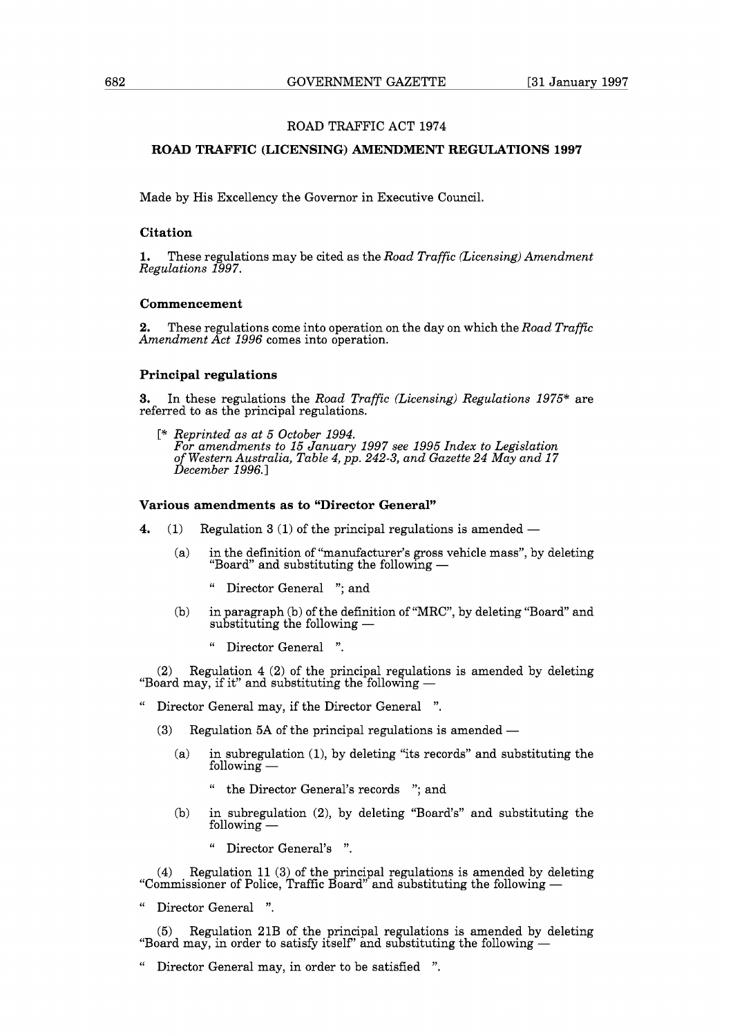# **ROAD TRAFFIC (LICENSING) AMENDMENT REGULATIONS 1997**

Made by His Excellency the Governor in Executive Council.

#### **Citation**

**1.** These regulations may be cited as the *Road Traffic (Licensing) Amendment Regulations 1997.* 

# **Commencement**

**2.** These regulations come into operation on the day on which the *Road Traffic Amendment Act 1996* comes into operation.

# **Principal regulations**

**3.** In these regulations the *Road Traffic (Licensing) Regulations 1975%* are referred to as the principal regulations.

[\* *Reprinted as at 5 October 1994. For amendments to 15 January 1997 see 1995 Index to Legislation of Western Australia, Table 4, pp. 242-3, and Gazette 24 May and 17*<br>December 1996.]

# **Various amendments as to "Director General"**

- **4.** (1) Regulation  $3(1)$  of the principal regulations is amended  $-$ 
	- (a) in the definition of "manufacturer's gross vehicle mass", by deleting  $\sum_{i=1}^{n}$  and  $\sum_{i=1}^{n}$  and substituting the following  $\frac{1}{n}$ 
		- " Director General "; and
	- (b) in paragraph (b) of the definition of "MRC", by deleting "Board" and substituting the following -<br>substituting the following -
		- " Director General ".

(2) Regulation 4 (2) of the principal regulations is amended by deleting (2) Regulation 4 (2) of the principal regulations<br>"Board may, if it" and substituting the following  $-$ 

- Director General may, if the Director General ".
	- (3) Regulation 5A of the principal regulations is amended  $-$ 
		- (a) in subregulation (I), by deleting "its records" and substituting the diated in the case<br>in subregulation<br>following
			- the Director General's records "; and
		- (b) in subregulation (2), by deleting "Board's" and substituting the  $\frac{1}{100}$ <br>in subregulati<br>following -
			- " Director General's ".

(4) Regulation 11 (3) of the principal regulations is amended by deleting (4) Regulation 11 (3) of the principal regulations is amended by delet:<br>"Commissioner of Police, Traffic Board" and substituting the following —

" Director General ".

(5) Regulation 21B of the principal regulations is amended by deleting  $(5)$  Regulation 21B of the principal regulations is amended by del<br>"Board may, in order to satisfy itself" and substituting the following  $-$ 

" Director General may, in order to be satisfied ".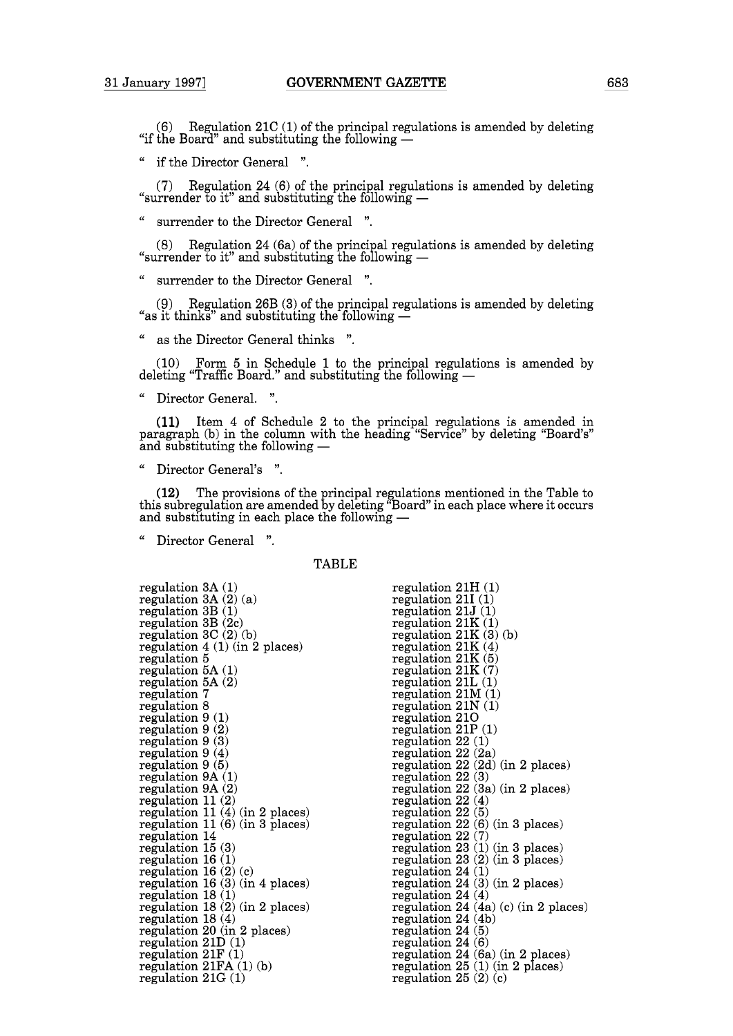$(6)$  Regulation 21C (1) of the principal regulations is amended by deleting  $(6)$  Regulation 21C (1) of the principal regula<br>"if the Board" and substituting the following —

" if the Director General ".

(7) Regulation 24 (6) of the principal regulations is amended by deleting (7) Regulation 24 (6) of the principal regulation<br>"surrender to it" and substituting the following  $-$ 

" surrender to the Director General ".

(8) Regulation 24 (6a) of the principal regulations is amended by deleting (8) Regulation 24 (6a) of the principal regulation<br>"surrender to it" and substituting the following  $-$ 

" surrender to the Director General ".

(9) Regulation 26B (3) of the principal regulations is amended by deleting (9) Regulation 26B (3) of the principal regulation  $26B(3)$  of the principal regulation  $\frac{26B}{100}$ 

" as the Director General thinks ".

(10) Form 5 in Schedule 1 to the principal regulations is amended by deleting "Traffic Board." and substituting the following -

" Director General. ".

(11) Item 4 of Schedule 2 to the principal regulations is amended in paragraph (b) in the column with the heading "Service" by deleting "Board's" (11) Item 4 of Schedule 2 to paragraph (b) in the column with t and substituting the following  $-$ 

" Director General's ".

(12) The provisions of the principal regulations mentioned in the Table to this subregulation are amended by deleting "Board" in each place where it occurs ( $12$ ) The provisions of the principal regulation<br>this subregulation are amended by deleting "Board<br>and substituting in each place the following —

Director General ".

**TABLE** 

| regulation 3A (1)<br>regulation 3A (2) (a) |
|--------------------------------------------|
| $regulation$ $3B(1)$                       |
| regulation 3B (2c)                         |
| regulation $3C(2)(b)$                      |
| regulation $4(1)$ (in 2 places)            |
| regulation 5                               |
| regulation $5A(1)$                         |
| regulation 5A (2)                          |
| regulation 7                               |
| regulation 8                               |
| regulation $9(1)$                          |
| regulation 9(2)                            |
| regulation 9 (3)                           |
| regulation $9(4)$                          |
| regulation 9 (5)                           |
| regulation 9A (1)                          |
| regulation 9A (2)                          |
| regulation 11(2)                           |
| regulation $11(4)$ (in 2 places)           |
| regulation $11(6)$ (in 3 places)           |
| regulation 14                              |
| regulation 15 (3)                          |
| regulation 16 (1)                          |
| regulation $16(2)(c)$                      |
| regulation $16(3)$ (in 4 places)           |
| regulation 18 (1)                          |
| regulation 18 (2) (in 2 places)            |
| regulation 18 (4)                          |
| regulation 20 (in 2 places)                |
| $r$ egulation $21D(1)$                     |
| regulation $21F(1)$                        |
| regulation $21FA(1)(b)$                    |
| $regulation\ 21G\ (1)$                     |

| regulation $21H(1)$                  |
|--------------------------------------|
| regulation $21I(1)$                  |
| $r$ egulation 21 $J(1)$              |
| regulation $21K(1)$                  |
| regulation $21K(3)(b)$               |
| regulation $21K(4)$                  |
| regulation $21K(5)$                  |
| regulation $21K(7)$                  |
| regulation $21L(1)$                  |
| regulation $21M(1)$                  |
| regulation $21N(1)$                  |
| regulation 210                       |
| regulation $21P(1)$                  |
| regulation 22(1)                     |
| regulation $22(2a)$                  |
| regulation $22(2d)$ (in 2 places)    |
| regulation 22(3)                     |
| regulation 22 (3a) (in 2 places)     |
| regulation $22(4)$                   |
| regulation 22 (5)                    |
| regulation 22 (6) (in 3 places)      |
| regulation 22(7)                     |
| regulation 23 (1) (in 3 places)      |
| regulation $23(2)$ (in 3 places)     |
| regulation $24(1)$                   |
| regulation $24(3)$ (in 2 places)     |
| regulation 24 $(4)$                  |
| regulation 24 (4a) (c) (in 2 places) |
| regulation 24 (4b)                   |
| regulation 24(5)                     |
| regulation $24(6)$                   |
| regulation $24(6a)$ (in 2 places)    |
| regulation $25(1)$ (in 2 places)     |
| regulation $25(2)(c)$                |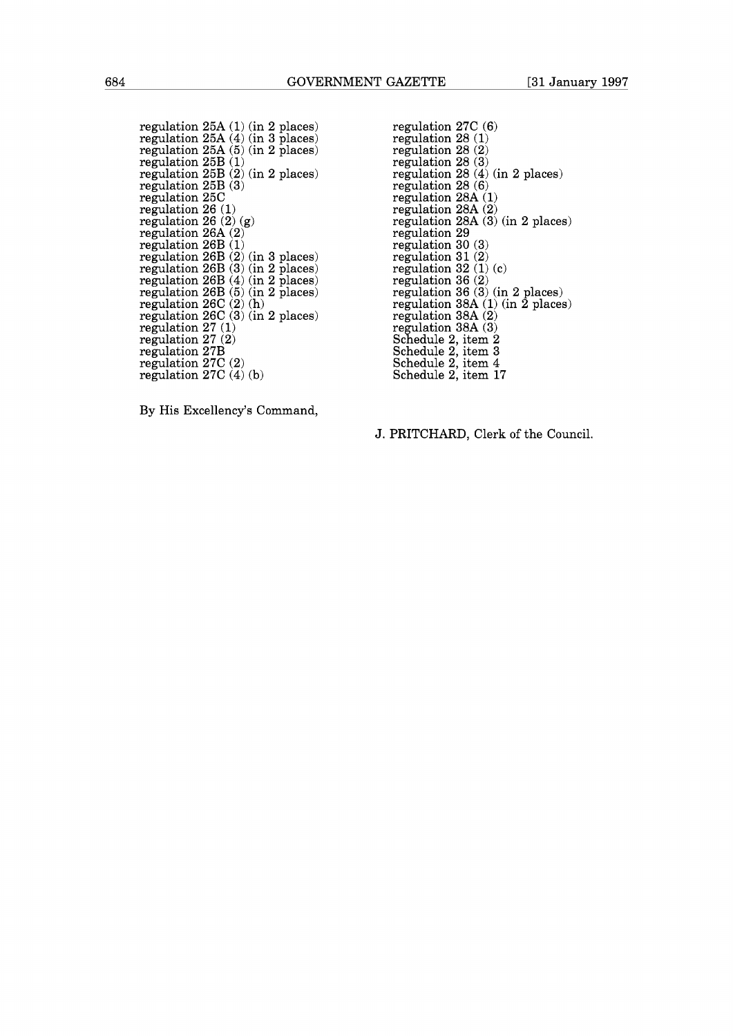regulation  $25A(1)$  (in 2 places) regulation 25A (4) (in 3 places) regulation 25A (5) (in 2 places) regulation 25B (1) regulation 25B (2) (in 2 places) regulation 25B (3) regulation 25C regulation 26 (1) regulation 26 (2) (g) regulation 26A (2) regulation 26B (1) regulation 26B (2) (in 3 places) regulation 26B (3) (in 2 places) regulation 26B (4) (in 2 places) regulation 26B (5) (in 2 places)  $r$ egulation 26 $C(2)(h)$ regulation 26C (3) (in 2 places) regulation 27 (1)  $r$ egulation  $27/(2)$ regulation 27B regulation 27C (2) regulation 27C (4) (b)

regulation 27C (6) regulation 28 (1) regulation 28 (2) regulation 28 (3) regulation 28 (4) (in 2 places) regulation 28 (6) regulation 28A (1) regulation 28A (2) regulation 28A (3) (in 2 places) regulation 29 regulation 30 (3) regulation 31 (2) regulation 32 (1) (c) regulation 36 (2) regulation 36 (3) (in 2 places) regulation 38A (1) (in 2 places) regulation 38A (2) regulation 38A (3) Schedule 2, item 2 Schedule 2, item 3 Schedule 2, item 4 Schedule 2, item 17

By His Excellency's Command,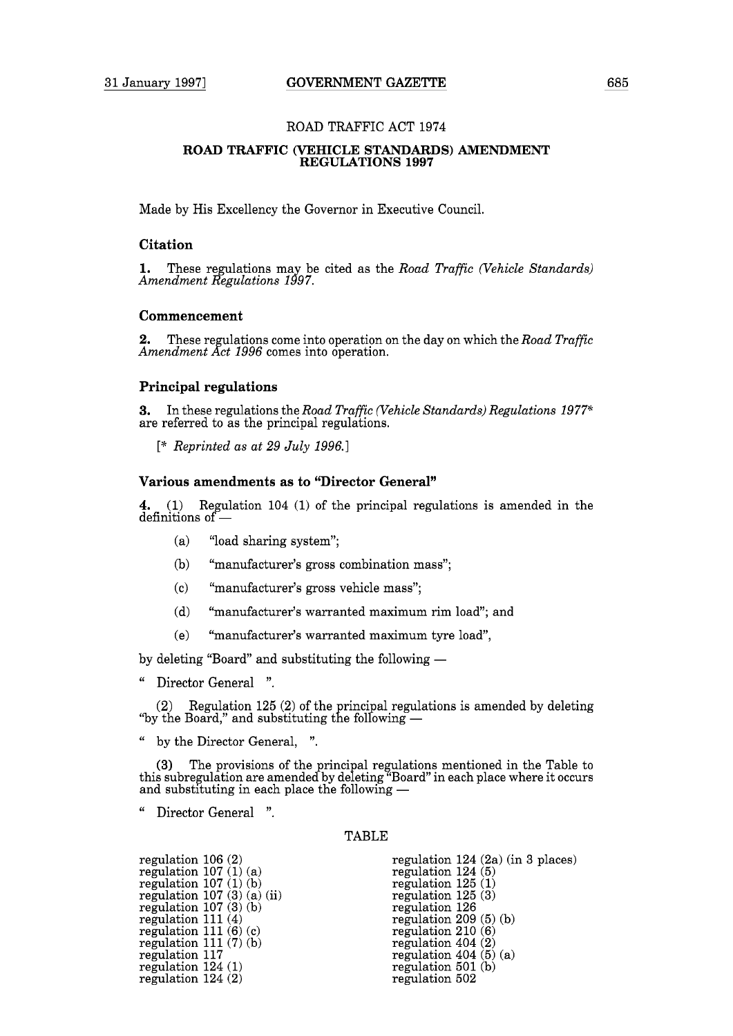# **ROAD TRAFFIC (VEHICLE STANDARDS) AMENDMENT REGULATIONS 1997**

Made by His Excellency the Governor in Executive Council.

## **Citation**

**1.** These regulations may be cited as the *Road Traffic (Vehicle Standards) Amendment Regulations 1997.* 

# **Commencement**

**2.** These regulations come into operation on the day on which the *Road Traffic Amendment Act 1996* comes into operation.

## **Principal regulations**

**3.** In these regulations the *Road Traffic (Vehicle Standards) Regulations 1977\**  are referred to as the principal regulations.

[\* *Reprinted as at 29 July 1996.* <sup>I</sup>

# **Various amendments as to "Director General"**

**4.** (1) Regulation 104 (1) of the principal regulations is amended in the 4. (1) Regulation<br>definitions of —

- (a) "load sharing system";
- (b) "manufacturer's gross combination mass";
- (c) "manufacturer's gross vehicle mass";
- (d) "manufacturer's warranted maximum rim load"; and
- (e) "manufacturer's warranted maximum tyre load",

by deleting "Board" and substituting the following -

" Director General ".

(2) Regulation 125 (2) of the principal regulations is amended by deleting  $(2)$  Regulation 125 (2) of the principal regulation the Board," and substituting the following  $-$ 

" by the Director General, ".

(3) The provisions of the principal regulations mentioned in the Table to this subregulation are amended by deleting "Board" in each place where it occurs (3) The provisions of the principal regulation<br>this subregulation are amended by deleting "Board<br>and substituting in each place the following —

" Director General ".

#### TABLE

| regulation $106(2)$     |                              |
|-------------------------|------------------------------|
| regulation $107(1)(a)$  |                              |
| regulation $107(1)(b)$  |                              |
|                         | regulation $107(3)$ (a) (ii) |
| regulation $107(3)(b)$  |                              |
| regulation $111(4)$     |                              |
| regulation 111 $(6)(c)$ |                              |
| regulation $111(7)(b)$  |                              |
| regulation 117          |                              |
| regulation $124(1)$     |                              |
| regulation $124(2)$     |                              |

regulation 124 (2a) (in 3 places) regulation 124 (5) regulation 125 (1) regulation  $125(3)$ regulation 126 regulation 209 (5) (b) regulation 210 (6) regulation 404 (2) regulation  $404(5)(a)$ regulation 501 (b) regulation 502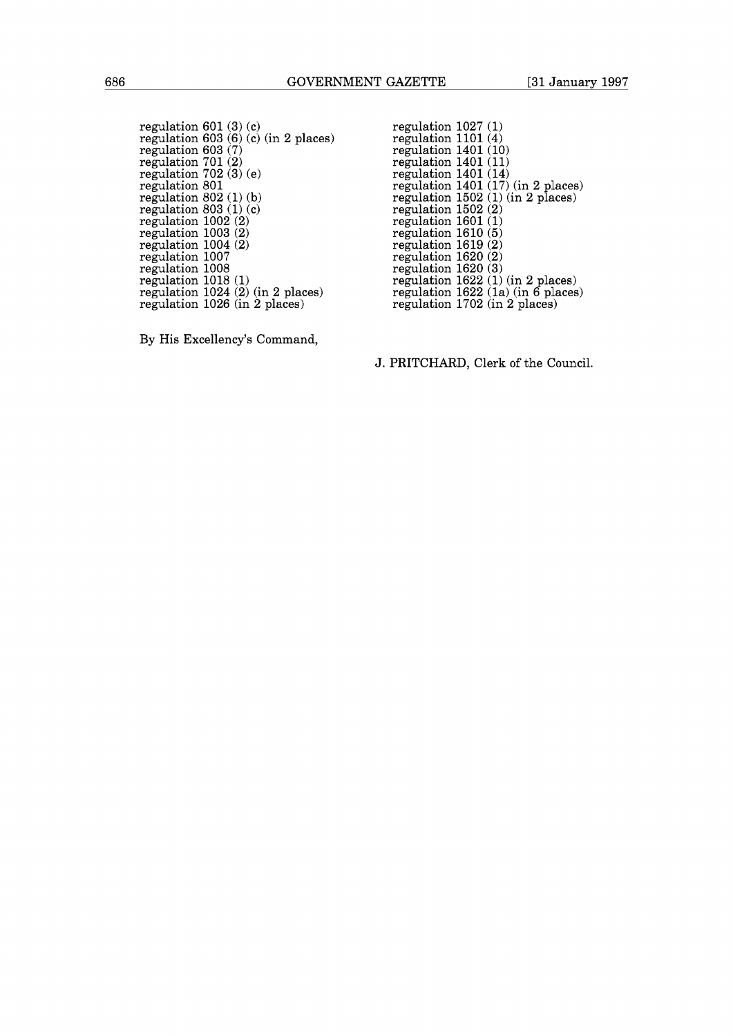regulation 601 (3) (c) regulation 603 (6) (c) (in 2 places) regulation 603 (7) regulation 701 (2) regulation 702 (3) (e) regulation 801 regulation  $802(1)(b)$ regulation  $803(1)(c)$ regulation 1002 (2) regulation 1003 (2) regulation 1004 (2) regulation 1007 regulation 1008 regulation 1018 (1) regulation 1024 (2) (in 2 places) regulation 1026 (in 2 places)

regulation 1401 (10)<br>regulation 1401 (11) regulation 1401 (14) regulation 1401 (17) (in 2 places) regulation 1502 (1) (in 2 places) regulation 1502 (2) regulation  $1601<sub>(1)</sub>$ <br>regulation  $1601<sub>(1)</sub>$ regulation 1610 (5) regulation 1619 (2) regulation 1620 (2) regulation 1620 (3) regulation 1622 (1) (in 2 places) regulation 1622 (la) (in 6 places) regulation 1702 (in 2 places)

regulation 1027 (1) regulation 1101 (4)

By His Excellency's Command,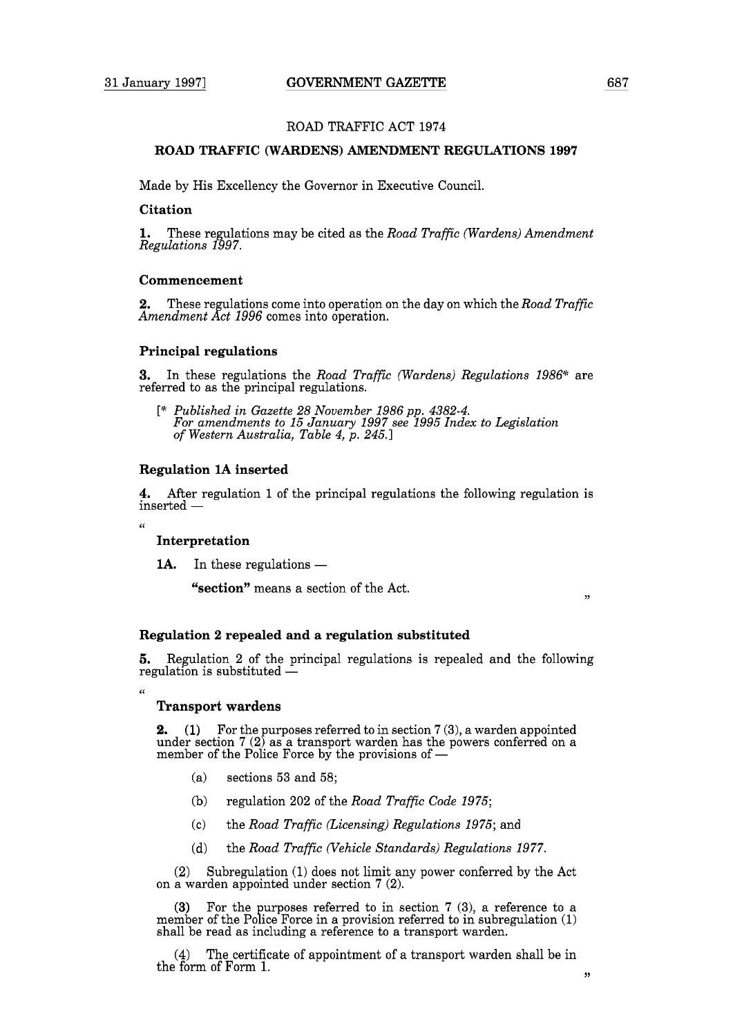# **ROAD TRAFFIC (WARDENS) AMENDMENT REGULATIONS 1997**

Made by His Excellency the Governor in Executive Council.

## **Citation**

**1.** These regulations may be cited as the *Road Traffic (Wardens) Amendment Regulations* 1997.

#### **Commencement**

**2.** These regulations come into operation on the day on which the *Road Traffic Amendment Act* 1996 comes into operation.

## **Principal regulations**

**3.** In these regulations the *Road Traffic (Wardens) Regulations* 1986% are referred to as the principal regulations.

[\* *Published in Gazette* 28 *November* 1986 pp. 4382-4. *For amendments to* 15 *January* 1997 *see* <sup>1995</sup>*Index to Legislation of Western Australia, Table* 4, *p.* 245.1

## **Regulation 1A inserted**

**4.** After regulation 1 of the principal regulations the following regulation is  $inserted -$ 

 $\alpha$ 

# **Interpretation**

**1A.** In these regulations —

**"section"** means a section of the Act.

#### **Regulation 2 repealed and a regulation substituted**

**5.** Regulation 2 of the principal regulations is repealed and the following regulation is substituted -

 $\epsilon$ 

# **Transport wardens**

**2.** (1) For the purposes referred to in section 7 (3), a warden appointed under section 7 (2) as a transport warden has the powers conferred on a **2.** (1) For the purposes referred to in section 7 (3), under section 7 (2) as a transport warden has the pomember of the Police Force by the provisions of  $-$ 

- (a) sections 53 and 58;
- (b) regulation 202 of the *Road Traffic Code* 1975;
- (c) the *Road Traffic (Licensing) Regulations* 1975; and
- (d) the *Road Traffic (Vehicle Standards) Regulations* 1977.

(2) Subregulation (1) does not limit any power conferred by the Act on a warden appointed under section 7 (2).

(3) For the purposes referred to in section 7 (3), a reference to a member of the Police Force in a provision referred to in subregulation (1) shall be read as including a reference to a transport warden.

(4) The certificate of appointment of a transport warden shall be in the form of Form 1. **9,** 

 $,$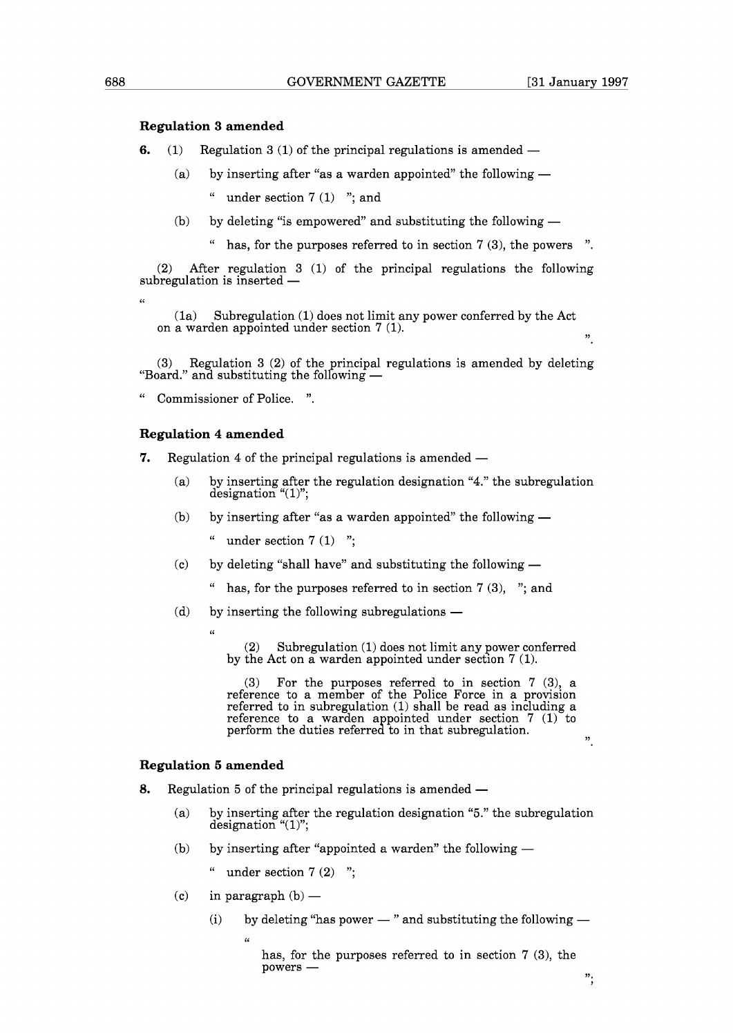## **Regulation 3 amended**

- **6.** (1) Regulation 3 (1) of the principal regulations is amended  $-$ 
	- (a) by inserting after "as a warden appointed" the following  $-$ 
		- " under section  $7(1)$  "; and
	- (b) by deleting "is empowered" and substituting the following  $$ 
		- has, for the purposes referred to in section  $7(3)$ , the powers ".

(2) After regulation 3 (1) of the principal regulations the following subregulation is inserted -

(la) Subregulation (1) does not limit any power conferred by the Act on a warden appointed under section  $7(1)$ .

 $(3)$  Regulation 3 (2) of the principal regulations is amended by deleting (3) Regulation 3 (2) of the principal re<br>"Board." and substituting the following  $-$ 

Commissioner of Police. ".

# **Regulation 4 amended**

**7.** Regulation 4 of the principal regulations is amended —

- (a) by inserting after the regulation designation "4." the subregulation designation " $(1)$ ";
- (b) by inserting after "as a warden appointed" the following  $-$

" under section  $7(1)$  ";

- (c) by deleting "shall have" and substituting the following  $-$ 
	- " has, for the purposes referred to in section  $7(3)$ , "; and
- $(d)$  by inserting the following subregulations  $-$

 $\alpha$ 

(2) Subregulation (1) does not limit any power conferred by the Act on a warden appointed under section  $7(1)$ .

(3) For the purposes referred to in section 7 (3), a reference to a member of the Police Force in a provision referred to in subregulation (1) shall be read as including a reference to a warden appointed under section  $7(1)$  to perform the duties referred to in that subregulation.  $\frac{1}{2}$   $\frac{1}{2}$ 

# **Regulation 5 amended**

- **8.** Regulation 5 of the principal regulations is amended
	- (a) by inserting after the regulation designation "5." the subregulation designation "(1)";
	- (b) by inserting after "appointed a warden" the following  $-$
	- " under section  $7(2)$ ";<br>
	(c) in paragraph (b) —
	-

**(6** 

(i) by deleting "has power  $-$  " and substituting the following  $-$ 

has, for the purposes referred to in section 7 (3), the has, for the purposes referred to in section  $7$  (3), the powers  $-$ 

**(6**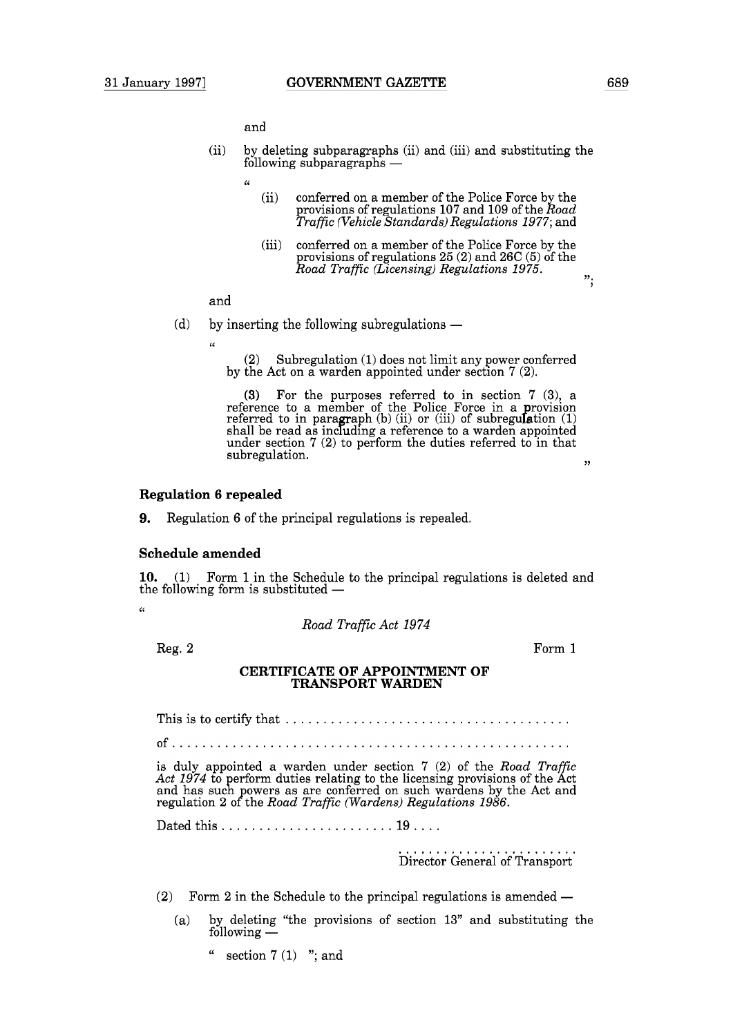and

**(6** 

- (ii) by deleting subparagraphs (ii) and (iii) and substituting the ana<br>by deleting subparagraphs (ii)<br>following subparagraphs —
	-
	- (ii) conferred on a member of the Police Force by the provisions of regulations 107 and 109 of the *Road Traffic (Vehicle Standards) Regulations 1977;* and
	- (iii) conferred on a member of the Police Force by the provisions of regulations 25 (2) and 26C (5) of the *Road Traffic (Licensing) Regulations 1975.*

**97. 7** 

# and

- (d) by inserting the following subregulations  $-$ 
	- $\alpha$

Subregulation (1) does not limit any power conferred by the Act on a warden appointed under section 7 (2).

(3) For the purposes referred to in section 7 (3), a reference to a member of the Police Force in a provision referred to in paragraph (b) (ii) or (iii) of subregulation (1) shall be read as including a reference to a warden appointed shall be read as including a reference to a warden appointed under section 7 (2) to perform the duties referred to in that  $\begin{minipage}[c]{0.9\linewidth} \textbf{subregulation.} \end{minipage}$ 

## **Regulation 6 repealed**

**9.** Regulation 6 of the principal regulations is repealed.

## **Schedule amended**

**10.** (1) Form 1 in the Schedule to the principal regulations is deleted and the following form is substituted  $-$ 

 $\epsilon$ 

*Road Traffic Act 1974* 

Reg. 2

Form 1

## **CERTIFICATE OF APPOINTMENT OF TRANSPORT WARDEN**

This is to certify that ......................................

is duly appointed a warden under section 7 (2) of the *Road Traffic*  Act 1974 to perform duties relating to the licensing provisions of the Act and has such powers as are conferred on such wardens by the Act and regulation 2 o?the *Road Traffic (Wardens) Regulations 1986.* 

Dated this. ...................... 19. ...

........................ Director General of Transport

(2) Form 2 in the Schedule to the principal regulations is amended  $-$ 

- (a) by deleting "the provisions of section 13" and substituting the  $f(x) = \ln \arccos 1$ <br>following  $\frac{1}{x}$ 
	- " section  $7(1)$  "; and